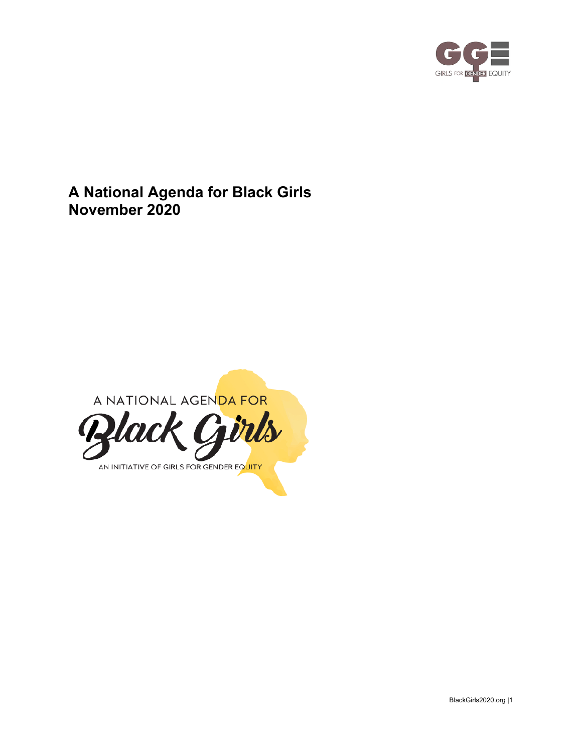

**A National Agenda for Black Girls November 2020**

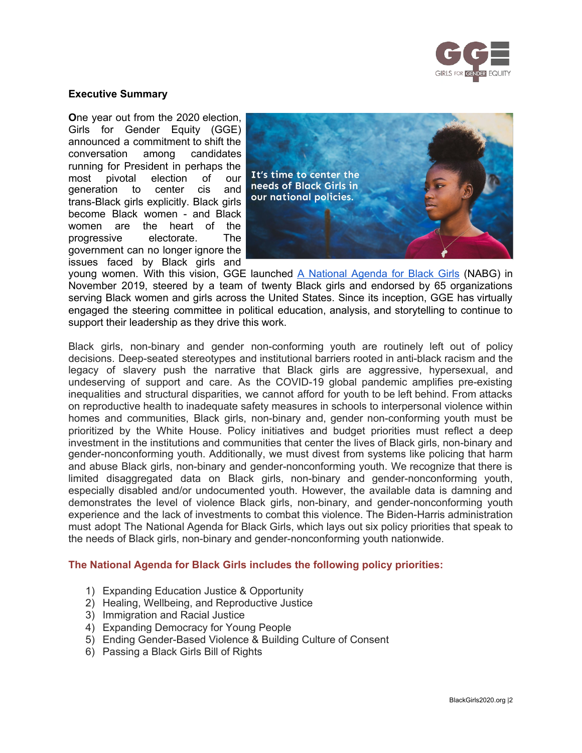

#### **Executive Summary**

**O**ne year out from the 2020 election, Girls for Gender Equity (GGE) announced a commitment to shift the conversation among candidates running for President in perhaps the most pivotal election of our generation to center cis and trans-Black girls explicitly. Black girls become Black women - and Black women are the heart of the progressive electorate. The government can no longer ignore the issues faced by Black girls and



young women. With this vision, GGE launched A [National](https://www.blackgirls2020.com/) Agenda for Black Girls (NABG) in November 2019, steered by a team of twenty Black girls and endorsed by 65 organizations serving Black women and girls across the United States. Since its inception, GGE has virtually engaged the steering committee in political education, analysis, and storytelling to continue to support their leadership as they drive this work.

Black girls, non-binary and gender non-conforming youth are routinely left out of policy decisions. Deep-seated stereotypes and institutional barriers rooted in anti-black racism and the legacy of slavery push the narrative that Black girls are aggressive, hypersexual, and undeserving of support and care. As the COVID-19 global pandemic amplifies pre-existing inequalities and structural disparities, we cannot afford for youth to be left behind. From attacks on reproductive health to inadequate safety measures in schools to interpersonal violence within homes and communities, Black girls, non-binary and, gender non-conforming youth must be prioritized by the White House. Policy initiatives and budget priorities must reflect a deep investment in the institutions and communities that center the lives of Black girls, non-binary and gender-nonconforming youth. Additionally, we must divest from systems like policing that harm and abuse Black girls, non-binary and gender-nonconforming youth. We recognize that there is limited disaggregated data on Black girls, non-binary and gender-nonconforming youth, especially disabled and/or undocumented youth. However, the available data is damning and demonstrates the level of violence Black girls, non-binary, and gender-nonconforming youth experience and the lack of investments to combat this violence. The Biden-Harris administration must adopt The National Agenda for Black Girls, which lays out six policy priorities that speak to the needs of Black girls, non-binary and gender-nonconforming youth nationwide.

#### **The National Agenda for Black Girls includes the following policy priorities:**

- 1) Expanding Education Justice & Opportunity
- 2) Healing, Wellbeing, and Reproductive Justice
- 3) Immigration and Racial Justice
- 4) Expanding Democracy for Young People
- 5) Ending Gender-Based Violence & Building Culture of Consent
- 6) Passing a Black Girls Bill of Rights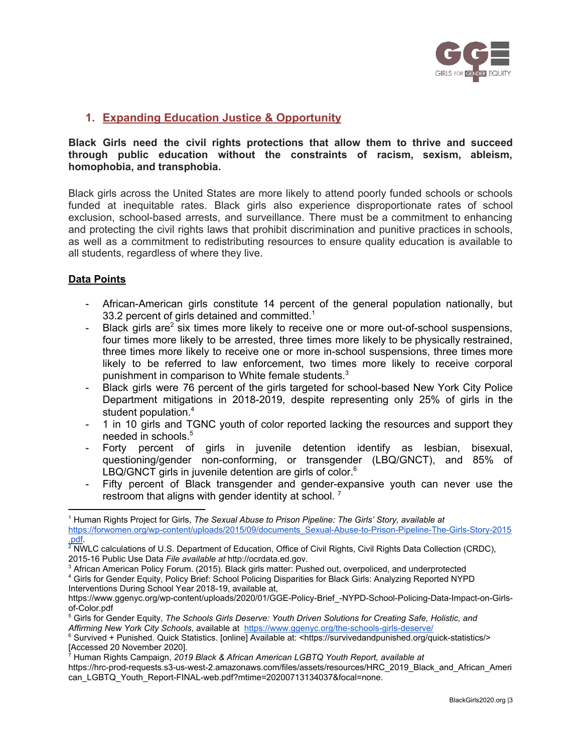

## **1. Expanding Education Justice & Opportunity**

**Black Girls need the civil rights protections that allow them to thrive and succeed through public education without the constraints of racism, sexism, ableism, homophobia, and transphobia.**

Black girls across the United States are more likely to attend poorly funded schools or schools funded at inequitable rates. Black girls also experience disproportionate rates of school exclusion, school-based arrests, and surveillance. There must be a commitment to enhancing and protecting the civil rights laws that prohibit discrimination and punitive practices in schools, as well as a commitment to redistributing resources to ensure quality education is available to all students, regardless of where they live.

## **Data Points**

- African-American girls constitute 14 percent of the general population nationally, but 33.2 percent of girls detained and committed. $1$
- Black girls are<sup>2</sup> six times more likely to receive one or more out-of-school suspensions, four times more likely to be arrested, three times more likely to be physically restrained, three times more likely to receive one or more in-school suspensions, three times more likely to be referred to law enforcement, two times more likely to receive corporal punishment in comparison to White female students.<sup>3</sup>
- Black girls were 76 percent of the girls targeted for school-based New York City Police Department mitigations in 2018-2019, despite representing only 25% of girls in the student population. 4
- 1 in 10 girls and TGNC youth of color reported lacking the resources and support they needed in schools. 5
- Forty percent of girls in juvenile detention identify as lesbian, bisexual, questioning/gender non-conforming, or transgender (LBQ/GNCT), and 85% of LBQ/GNCT girls in juvenile detention are girls of color.<sup>6</sup>
- Fifty percent of Black transgender and gender-expansive youth can never use the restroom that aligns with gender identity at school.<sup>7</sup>

<sup>1</sup> Human Rights Project for Girls, *The Sexual Abuse to Prison Pipeline: The Girls' Story, available at* [https://forwomen.org/wp-content/uploads/2015/09/documents\\_Sexual-Abuse-to-Prison-Pipeline-The-Girls-Story-2015](https://forwomen.org/wp-content/uploads/2015/09/documents_Sexual-Abuse-to-Prison-Pipeline-The-Girls-Story-2015.pdf)

<sup>.&</sup>lt;u>pdf</u>.<br><sup>2</sup> NWLC calculations of U.S. Department of Education, Office of Civil Rights, Civil Rights Data Collection (CRDC), 2015-16 Public Use Data *File available at* http://ocrdata.ed.gov.

<sup>&</sup>lt;sup>3</sup> African American Policy Forum. (2015). Black girls matter: Pushed out, overpoliced, and underprotected

<sup>4</sup> Girls for Gender Equity, Policy Brief: School Policing Disparities for Black Girls: Analyzing Reported NYPD Interventions During School Year 2018-19, available at,

https://www.ggenyc.org/wp-content/uploads/2020/01/GGE-Policy-Brief -NYPD-School-Policing-Data-Impact-on-Girls[of-Color.pdf](https://www.ggenyc.org/wp-content/uploads/2020/01/GGE-Policy-Brief_-NYPD-School-Policing-Data-Impact-on-Girls-of-Color.pdf)

<sup>5</sup> Girls for Gender Equity, *The Schools Girls Deserve: Youth Driven Solutions for Creating Safe, Holistic, and Affirming New York City Schools*, available at <https://www.ggenyc.org/the-schools-girls-deserve/>

<sup>6</sup> Survived + Punished. Quick Statistics. [online] Available at: <https://survivedandpunished.org/quick-statistics/> [Accessed 20 November 2020]. 7 Human Rights Campaign, *2019 Black & African American LGBTQ Youth Report, available at*

https://hrc-prod-requests.s3-us-west-2.amazonaws.com/files/assets/resources/HRC\_2019\_Black\_and\_African\_Ameri can\_LGBTQ\_Youth\_Report-FINAL-web.pdf?mtime=20200713134037&focal=none.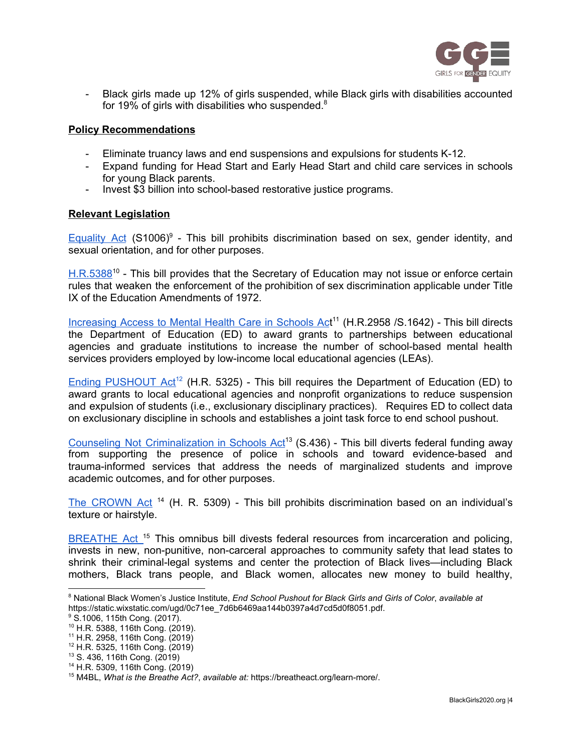

- Black girls made up 12% of girls suspended, while Black girls with disabilities accounted for 19% of girls with disabilities who suspended. $8$ 

#### **Policy Recommendations**

- Eliminate truancy laws and end suspensions and expulsions for students K-12.
- Expand funding for Head Start and Early Head Start and child care services in schools for young Black parents.
- Invest \$3 billion into school-based restorative justice programs.

#### **Relevant Legislation**

[Equality](https://www.govinfo.gov/content/pkg/BILLS-115s1006is/pdf/BILLS-115s1006is.pdf) Act (S1006)<sup>9</sup> - This bill prohibits discrimination based on sex, gender identity, and sexual orientation, and for other purposes.

[H.R.5388](https://www.congress.gov/bill/116th-congress/house-bill/5388/text?r=9&s=1)<sup>10</sup> - This bill provides that the Secretary of Education may not issue or enforce certain rules that weaken the enforcement of the prohibition of sex discrimination applicable under Title IX of the Education Amendments of 1972.

[Increasing](https://www.govtrack.us/congress/bills/116/hr2958/text) Access to Mental Health Care in Schools Act<sup>11</sup> (H.R.2958 /S.1642) - This bill directs the Department of Education (ED) to award grants to partnerships between educational agencies and graduate institutions to increase the number of school-based mental health services providers employed by low-income local educational agencies (LEAs).

Ending [PUSHOUT](https://www.congress.gov/bill/116th-congress/house-bill/5325?s=1&r=1) Act<sup>12</sup> (H.R. 5325) - This bill requires the Department of Education (ED) to award grants to local educational agencies and nonprofit organizations to reduce suspension and expulsion of students (i.e., exclusionary disciplinary practices). Requires ED to collect data on exclusionary discipline in schools and establishes a joint task force to end school pushout.

Counseling Not [Criminalization](https://www.murphy.senate.gov/imo/media/doc/Counseling%20Not%20Criminalization%20in%20Schools%20Act_FINAL.pdf) in Schools Act<sup>13</sup> (S.436) - This bill diverts federal funding away from supporting the presence of police in schools and toward evidence-based and trauma-informed services that address the needs of marginalized students and improve academic outcomes, and for other purposes.

The [CROWN](https://www.congress.gov/bill/116th-congress/house-bill/5309/text) Act<sup>14</sup> (H. R. 5309) - This bill prohibits discrimination based on an individual's texture or hairstyle.

[BREATHE](https://breatheact.org/learn-more/) Act.<sup>15</sup> This omnibus bill divests federal resources from incarceration and policing, invests in new, non-punitive, non-carceral approaches to community safety that lead states to shrink their criminal-legal systems and center the protection of Black lives—including Black mothers, Black trans people, and Black women, allocates new money to build healthy,

<sup>8</sup> National Black Women's Justice Institute, *End School Pushout for Black Girls and Girls of Color*, *available at* https://static.wixstatic.com/ugd/0c71ee\_7d6b6469aa144b0397a4d7cd5d0f8051.pdf.

<sup>&</sup>lt;sup>9</sup> S.1006, 115th Cong. (2017).

<sup>10</sup> H.R. 5388, 116th Cong. (2019).

<sup>11</sup> H.R. 2958, 116th Cong. (2019)

<sup>12</sup> H.R. 5325, 116th Cong. (2019)

<sup>13</sup> S. 436, 116th Cong. (2019)

<sup>14</sup> H.R. 5309, 116th Cong. (2019)

<sup>15</sup> M4BL, *What is the Breathe Act?*, *available at:* https://breatheact.org/learn-more/.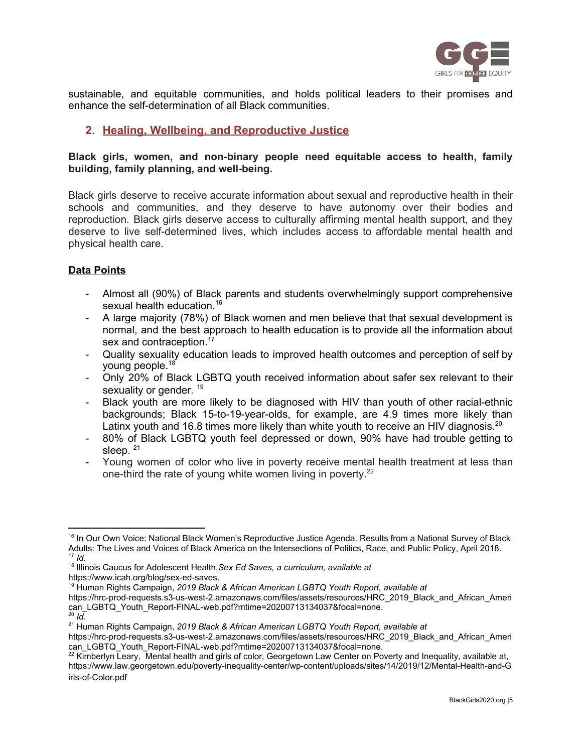

sustainable, and equitable communities, and holds political leaders to their promises and enhance the self-determination of all Black communities.

# **2. Healing, Wellbeing, and Reproductive Justice**

#### **Black girls, women, and non-binary people need equitable access to health, family building, family planning, and well-being.**

Black girls deserve to receive accurate information about sexual and reproductive health in their schools and communities, and they deserve to have autonomy over their bodies and reproduction. Black girls deserve access to culturally affirming mental health support, and they deserve to live self-determined lives, which includes access to affordable mental health and physical health care.

## **Data Points**

- Almost all (90%) of Black parents and students overwhelmingly support comprehensive sexual health education.<sup>16</sup>
- A large majority (78%) of Black women and men believe that that sexual development is normal, and the best approach to health education is to provide all the information about sex and contraception.<sup>17</sup>
- Quality sexuality education leads to improved health outcomes and perception of self by young people.<sup>18</sup>
- Only 20% of Black LGBTQ youth received information about safer sex relevant to their sexuality or gender. <sup>19</sup>
- Black youth are more likely to be diagnosed with HIV than youth of other racial-ethnic backgrounds; Black 15-to-19-year-olds, for example, are 4.9 times more likely than Latinx youth and 16.8 times more likely than white youth to receive an HIV diagnosis.<sup>20</sup>
- 80% of Black LGBTQ youth feel depressed or down, 90% have had trouble getting to sleep.<sup>21</sup>
- Young women of color who live in poverty receive mental health treatment at less than one-third the rate of young white women living in poverty.<sup>22</sup>

https://www.icah.org/blog/sex-ed-saves.

<sup>&</sup>lt;sup>16</sup> In Our Own Voice: National Black Women's Reproductive Justice Agenda. Results from a National Survey of Black Adults: The Lives and Voices of Black America on the Intersections of Politics, Race, and Public Policy, April 2018. 17 *Id.*

<sup>18</sup> Illinois Caucus for Adolescent Health,*Sex Ed Saves, a curriculum, available at*

<sup>19</sup> Human Rights Campaign, *2019 Black & African American LGBTQ Youth Report, available at*

https://hrc-prod-requests.s3-us-west-2.amazonaws.com/files/assets/resources/HRC\_2019\_Black\_and\_African\_Ameri can\_LGBTQ\_Youth\_Report-FINAL-web.pdf?mtime=20200713134037&focal=none.

<sup>20</sup> *Id.*

<sup>&</sup>lt;sup>21</sup> Human Rights Campaign, *2019 Black & African American LGBTQ Youth Report, available at* 

https://hrc-prod-requests.s3-us-west-2.amazonaws.com/files/assets/resources/HRC\_2019\_Black\_and\_African\_Ameri can\_LGBTQ\_Youth\_Report-FINAL-web.pdf?mtime=20200713134037&focal=none.

 $^{22}$  Kimberlyn Leary, Mental health and girls of color, Georgetown Law Center on Poverty and Inequality, available at, [https://www.law.georgetown.edu/poverty-inequality-center/wp-content/uploads/sites/14/2019/12/Mental-Health-and-G](https://www.law.georgetown.edu/poverty-inequality-center/wp-content/uploads/sites/14/2019/12/Mental-Health-and-Girls-of-Color.pdf) [irls-of-Color.pdf](https://www.law.georgetown.edu/poverty-inequality-center/wp-content/uploads/sites/14/2019/12/Mental-Health-and-Girls-of-Color.pdf)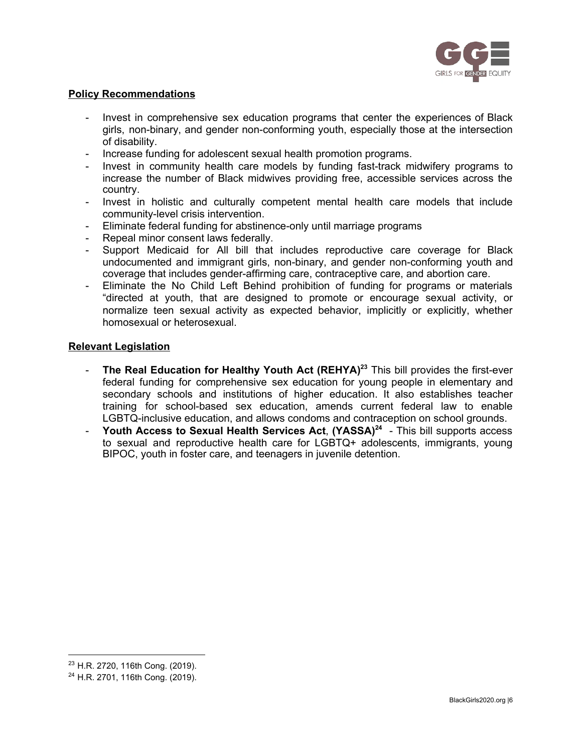

#### **Policy Recommendations**

- Invest in comprehensive sex education programs that center the experiences of Black girls, non-binary, and gender non-conforming youth, especially those at the intersection of disability.
- Increase funding for adolescent sexual health promotion programs.
- Invest in community health care models by funding fast-track midwifery programs to increase the number of Black midwives providing free, accessible services across the country.
- Invest in holistic and culturally competent mental health care models that include community-level crisis intervention.
- Eliminate federal funding for abstinence-only until marriage programs
- Repeal minor consent laws federally.
- Support Medicaid for All bill that includes reproductive care coverage for Black undocumented and immigrant girls, non-binary, and gender non-conforming youth and coverage that includes gender-affirming care, contraceptive care, and abortion care.
- Eliminate the No Child Left Behind prohibition of funding for programs or materials "directed at youth, that are designed to promote or encourage sexual activity, or normalize teen sexual activity as expected behavior, implicitly or explicitly, whether homosexual or heterosexual.

#### **Relevant Legislation**

- **The Real Education for Healthy Youth Act (REHYA) <sup>23</sup>** This bill provides the first-ever federal funding for comprehensive sex education for young people in elementary and secondary schools and institutions of higher education. It also establishes teacher training for school-based sex education, amends current federal law to enable LGBTQ-inclusive education, and allows condoms and contraception on school grounds.
- **Youth Access to Sexual Health Services Act**, **(YASSA) 24** This bill supports access to sexual and reproductive health care for LGBTQ+ adolescents, immigrants, young BIPOC, youth in foster care, and teenagers in juvenile detention.

<sup>23</sup> H.R. 2720, 116th Cong. (2019).

<sup>24</sup> H.R. 2701, 116th Cong. (2019).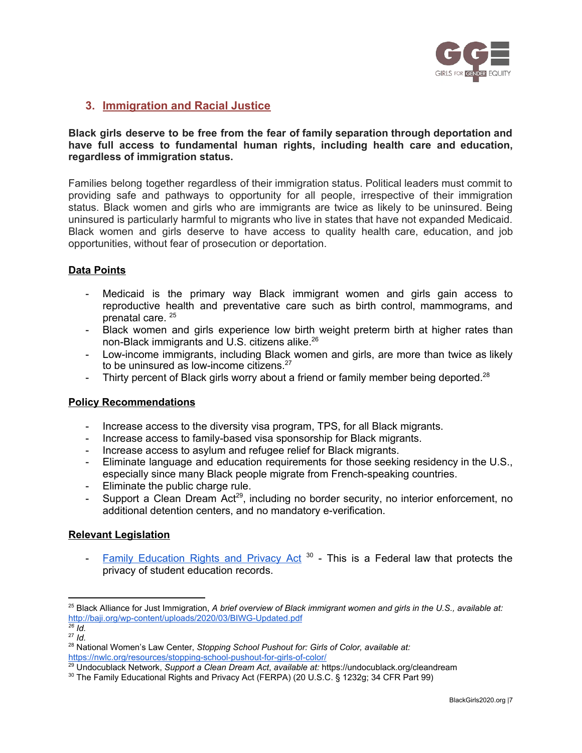

## **3. Immigration and Racial Justice**

#### **Black girls deserve to be free from the fear of family separation through deportation and have full access to fundamental human rights, including health care and education, regardless of immigration status.**

Families belong together regardless of their immigration status. Political leaders must commit to providing safe and pathways to opportunity for all people, irrespective of their immigration status. Black women and girls who are immigrants are twice as likely to be uninsured. Being uninsured is particularly harmful to migrants who live in states that have not expanded Medicaid. Black women and girls deserve to have access to quality health care, education, and job opportunities, without fear of prosecution or deportation.

## **Data Points**

- Medicaid is the primary way Black immigrant women and girls gain access to reproductive health and preventative care such as birth control, mammograms, and prenatal care. 25
- Black women and girls experience low birth weight preterm birth at higher rates than non-Black immigrants and U.S. citizens alike.<sup>26</sup>
- Low-income immigrants, including Black women and girls, are more than twice as likely to be uninsured as low-income citizens.<sup>27</sup>
- Thirty percent of Black girls worry about a friend or family member being deported.<sup>28</sup>

## **Policy Recommendations**

- Increase access to the diversity visa program, TPS, for all Black migrants.
- Increase access to family-based visa sponsorship for Black migrants.
- Increase access to asylum and refugee relief for Black migrants.
- Eliminate language and education requirements for those seeking residency in the U.S., especially since many Black people migrate from French-speaking countries.
- Eliminate the public charge rule.
- Support a Clean Dream Act<sup>29</sup>, including no border security, no interior enforcement, no additional detention centers, and no mandatory e-verification.

## **Relevant Legislation**

- Family [Education](https://www2.ed.gov/policy/gen/guid/fpco/ferpa/index.html) Rights and Privacy Act  $30$  - This is a Federal law that protects the privacy of student education records.

<sup>&</sup>lt;sup>25</sup> Black Alliance for Just Immigration, *A brief overview of Black immigrant women and girls in the U.S., available at:* <http://baji.org/wp-content/uploads/2020/03/BIWG-Updated.pdf> *26 Id.*

<sup>27</sup> *Id.*

<sup>&</sup>lt;sup>28</sup> National Women's Law Center, *Stopping School Pushout for: Girls of Color, available at:* <https://nwlc.org/resources/stopping-school-pushout-for-girls-of-color/>

<sup>29</sup> Undocublack Network, *Support a Clean Dream Act*, *available at:* https://undocublack.org/cleandream

<sup>&</sup>lt;sup>30</sup> The Family Educational Rights and Privacy Act (FERPA) (20 U.S.C. § 1232g; 34 CFR Part 99)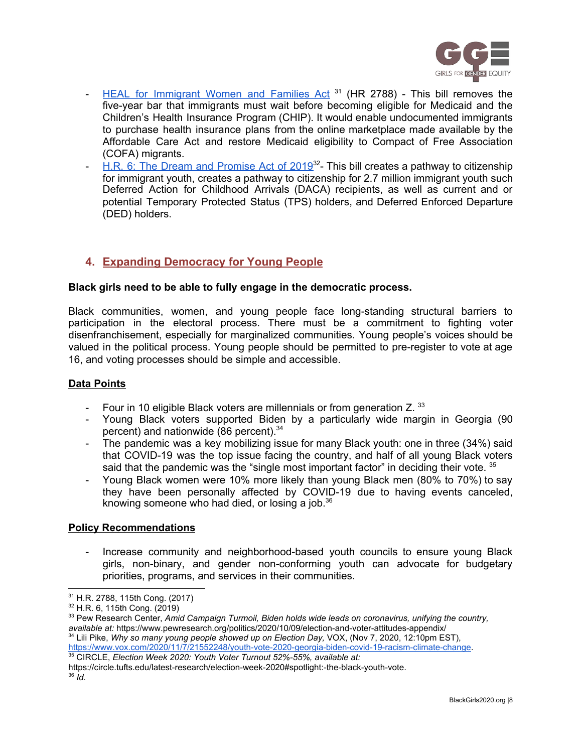

- HEAL for [Immigrant](https://www.congress.gov/bill/115th-congress/house-bill/2788) Women and Families Act<sup>31</sup> (HR 2788) This bill removes the five-year bar that immigrants must wait before becoming eligible for Medicaid and the Children's Health Insurance Program (CHIP). It would enable undocumented immigrants to purchase health insurance plans from the online marketplace made available by the Affordable Care Act and restore Medicaid eligibility to Compact of Free Association (COFA) migrants.
- H.R. 6: The Dream and [Promise](https://undocublack.org/dream-and-promise-act-of-2019) Act of 2019<sup>32</sup> This bill creates a pathway to citizenship for immigrant youth, creates a pathway to citizenship for 2.7 million immigrant youth such Deferred Action for Childhood Arrivals (DACA) recipients, as well as current and or potential Temporary Protected Status (TPS) holders, and Deferred Enforced Departure (DED) holders.

# **4. Expanding Democracy for Young People**

## **Black girls need to be able to fully engage in the democratic process.**

Black communities, women, and young people face long-standing structural barriers to participation in the electoral process. There must be a commitment to fighting voter disenfranchisement, especially for marginalized communities. Young people's voices should be valued in the political process. Young people should be permitted to pre-register to vote at age 16, and voting processes should be simple and accessible.

## **Data Points**

- Four in 10 eligible Black voters are millennials or from generation Z.  $^{33}$
- Young Black voters supported Biden by a particularly wide margin in Georgia (90 percent) and nationwide (86 percent).<sup>34</sup>
- The pandemic was a key mobilizing issue for many Black youth: one in three (34%) said that COVID-19 was the top issue facing the country, and half of all young Black voters said that the pandemic was the "single most important factor" in deciding their vote.  $35$
- Young Black women were 10% more likely than young Black men (80% to 70%) to say they have been personally affected by COVID-19 due to having events canceled, knowing someone who had died, or losing a job.<sup>36</sup>

## **Policy Recommendations**

Increase community and neighborhood-based youth councils to ensure young Black girls, non-binary, and gender non-conforming youth can advocate for budgetary priorities, programs, and services in their communities.

https://circle.tufts.edu/latest-research/election-week-2020#spotlight:-the-black-youth-vote. 36 *Id.*

<sup>31</sup> H.R. 2788, 115th Cong. (2017)

<sup>32</sup> H.R. 6, 115th Cong. (2019)

<sup>33</sup> Pew Research Center, *Amid Campaign Turmoil, Biden holds wide leads on coronavirus, unifying the country, available at:* https://www.pewresearch.org/politics/2020/10/09/election-and-voter-attitudes-appendix/

<sup>&</sup>lt;sup>34</sup> Lili Pike, *Why so many young people showed up on Election Day, VOX, (Nov 7, 2020, 12:10pm EST),* [https://www.vox.com/2020/11/7/21552248/youth-vote-2020-georgia-biden-covid-19-racism-climate-change.](https://www.vox.com/2020/11/7/21552248/youth-vote-2020-georgia-biden-covid-19-racism-climate-change)

<sup>35</sup> CIRCLE, *Election Week 2020: Youth Voter Turnout 52%-55%, available at:*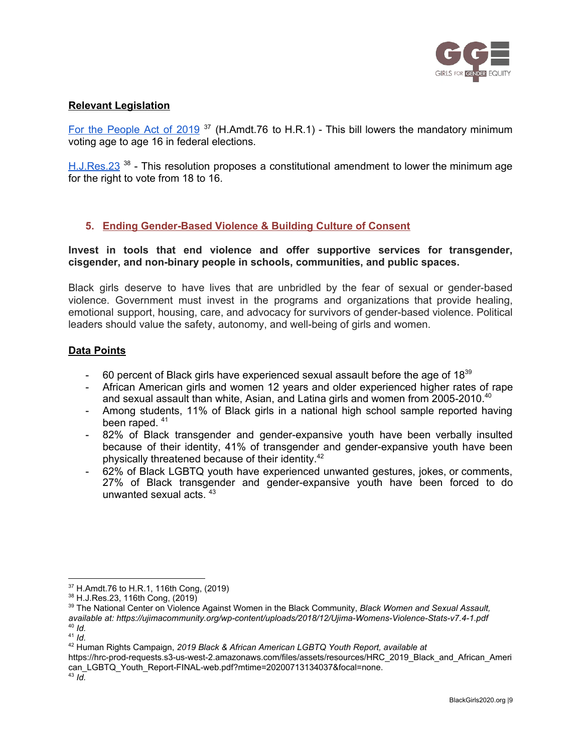

## **Relevant Legislation**

For the [People](https://www.congress.gov/amendment/116th-congress/house-amendment/76?q=%7B%22search%22%3A%5B%22Ayanna%22%5D%7D&s=2&r=12) Act of 2019<sup>37</sup> (H.Amdt.76 to H.R.1) - This bill lowers the mandatory minimum voting age to age 16 in federal elections.

[H.J.Res.23](https://www.congress.gov/bill/116th-congress/house-joint-resolution/23?q=%7B%22search%22%3A%5B%22Ayanna%22%5D%7D&s=2&r=40)<sup>38</sup> - This resolution proposes a constitutional amendment to lower the minimum age for the right to vote from 18 to 16.

## **5. Ending Gender-Based Violence & Building Culture of Consent**

#### **Invest in tools that end violence and offer supportive services for transgender, cisgender, and non-binary people in schools, communities, and public spaces.**

Black girls deserve to have lives that are unbridled by the fear of sexual or gender-based violence. Government must invest in the programs and organizations that provide healing, emotional support, housing, care, and advocacy for survivors of gender-based violence. Political leaders should value the safety, autonomy, and well-being of girls and women.

#### **Data Points**

- $-$  60 percent of Black girls have experienced sexual assault before the age of 18 $39$
- African American girls and women 12 years and older experienced higher rates of rape and sexual assault than white, Asian, and Latina girls and women from 2005-2010. 40
- Among students, 11% of Black girls in a national high school sample reported having been raped.<sup>41</sup>
- 82% of Black transgender and gender-expansive youth have been verbally insulted because of their identity, 41% of transgender and gender-expansive youth have been physically threatened because of their identity.<sup>42</sup>
- 62% of Black LGBTQ youth have experienced unwanted gestures, jokes, or comments, 27% of Black transgender and gender-expansive youth have been forced to do unwanted sexual acts. 43

 $37$  H.Amdt.76 to H.R.1, 116th Cong, (2019)

<sup>38</sup> H.J.Res.23, 116th Cong, (2019)

<sup>39</sup> The National Center on Violence Against Women in the Black Community, *Black Women and Sexual Assault, available at: https://ujimacommunity.org/wp-content/uploads/2018/12/Ujima-Womens-Violence-Stats-v7.4-1.pdf* 40 *Id.*

<sup>41</sup> *Id.*

<sup>42</sup> Human Rights Campaign, *2019 Black & African American LGBTQ Youth Report, available at*

https://hrc-prod-requests.s3-us-west-2.amazonaws.com/files/assets/resources/HRC\_2019\_Black\_and\_African\_Ameri can\_LGBTQ\_Youth\_Report-FINAL-web.pdf?mtime=20200713134037&focal=none. 43 *Id.*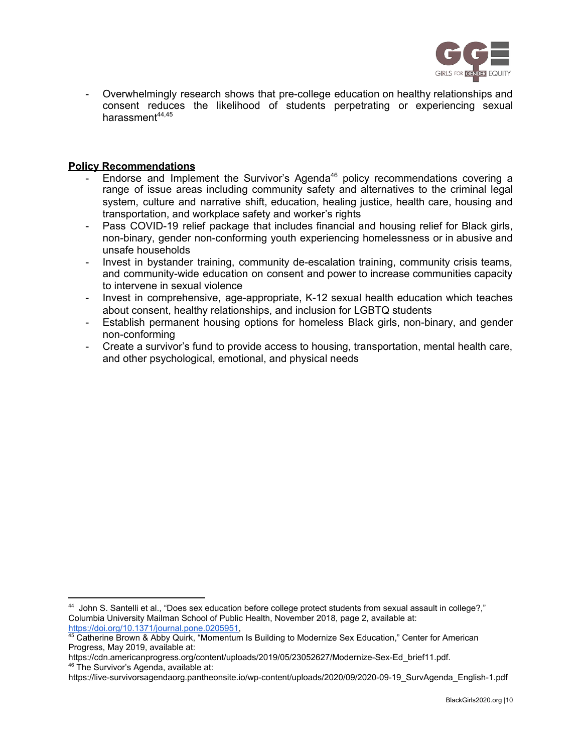

Overwhelmingly research shows that pre-college education on healthy relationships and consent reduces the likelihood of students perpetrating or experiencing sexual harassment<sup>44,45</sup>

#### **Policy Recommendations**

- Endorse and Implement the Survivor's Agenda<sup>46</sup> policy recommendations covering a range of issue areas including community safety and alternatives to the criminal legal system, culture and narrative shift, education, healing justice, health care, housing and transportation, and workplace safety and worker's rights
- Pass COVID-19 relief package that includes financial and housing relief for Black girls, non-binary, gender non-conforming youth experiencing homelessness or in abusive and unsafe households
- Invest in bystander training, community de-escalation training, community crisis teams, and community-wide education on consent and power to increase communities capacity to intervene in sexual violence
- Invest in comprehensive, age-appropriate, K-12 sexual health education which teaches about consent, healthy relationships, and inclusion for LGBTQ students
- Establish permanent housing options for homeless Black girls, non-binary, and gender non-conforming
- Create a survivor's fund to provide access to housing, transportation, mental health care, and other psychological, emotional, and physical needs

<sup>44</sup> John S. Santelli et al., "Does sex education before college protect students from sexual assault in college?," Columbia University Mailman School of Public Health, November 2018, page 2, available at:

<https://doi.org/10.1371/journal.pone.0205951>,<br><sup>45</sup> Catherine Brown & Abby Quirk, "Momentum Is Building to Modernize Sex Education," Center for American Progress, May 2019, available at:

https://cdn.americanprogress.org/content/uploads/2019/05/23052627/Modernize-Sex-Ed\_brief11.pdf. <sup>46</sup> The Survivor's Agenda, available at:

https://live-survivorsagendaorg.pantheonsite.io/wp-content/uploads/2020/09/2020-09-19\_SurvAgenda\_English-1.pdf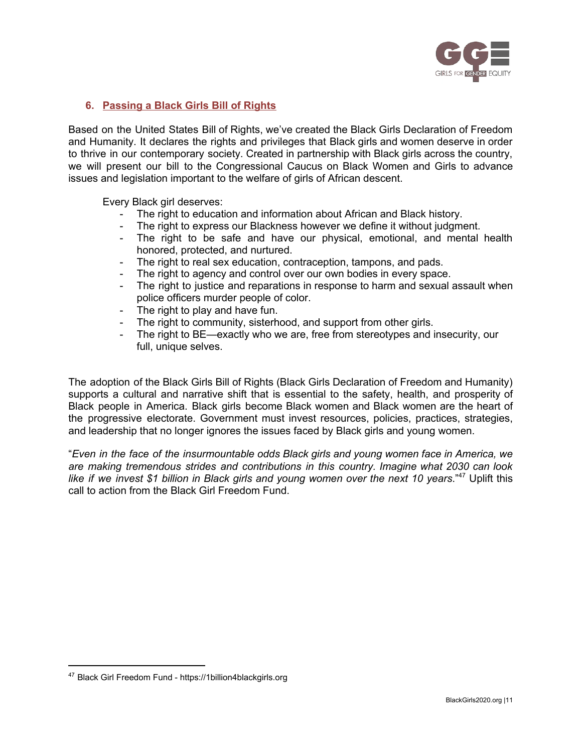

## **6. Passing a Black Girls Bill of Rights**

Based on the United States Bill of Rights, we've created the Black Girls Declaration of Freedom and Humanity. It declares the rights and privileges that Black girls and women deserve in order to thrive in our contemporary society. Created in partnership with Black girls across the country, we will present our bill to the Congressional Caucus on Black Women and Girls to advance issues and legislation important to the welfare of girls of African descent.

Every Black girl deserves:

- The right to education and information about African and Black history.
- The right to express our Blackness however we define it without judgment.
- The right to be safe and have our physical, emotional, and mental health honored, protected, and nurtured.
- The right to real sex education, contraception, tampons, and pads.
- The right to agency and control over our own bodies in every space.
- The right to justice and reparations in response to harm and sexual assault when police officers murder people of color.
- The right to play and have fun.
- The right to community, sisterhood, and support from other girls.
- The right to BE—exactly who we are, free from stereotypes and insecurity, our full, unique selves.

The adoption of the Black Girls Bill of Rights (Black Girls Declaration of Freedom and Humanity) supports a cultural and narrative shift that is essential to the safety, health, and prosperity of Black people in America. Black girls become Black women and Black women are the heart of the progressive electorate. Government must invest resources, policies, practices, strategies, and leadership that no longer ignores the issues faced by Black girls and young women.

"*Even in the face of the insurmountable odds Black girls and young women face in America, we are making tremendous strides and contributions in this country. Imagine what 2030 can look like if we invest \$1 billion in Black girls and young women over the next 10 years*." <sup>47</sup> Uplift this call to action from the Black Girl Freedom Fund.

<sup>47</sup> Black Girl Freedom Fund - https://1billion4blackgirls.org